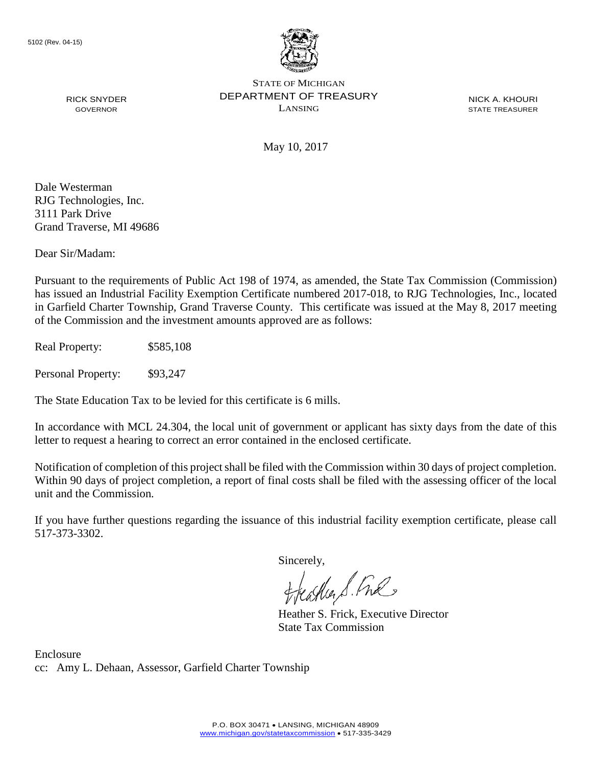

**NICK A. KHOURI** 

May 10, 2017

Dale Westerman RJG Technologies, Inc. 3111 Park Drive Grand Traverse, MI 49686

Dear Sir/Madam:

Pursuant to the requirements of Public Act 198 of 1974, as amended, the State Tax Commission (Commission) has issued an Industrial Facility Exemption Certificate numbered 2017-018, to RJG Technologies, Inc., located in Garfield Charter Township, Grand Traverse County. This certificate was issued at the May 8, 2017 meeting of the Commission and the investment amounts approved are as follows:

Real Property: \$585,108

Personal Property: \$93,247

The State Education Tax to be levied for this certificate is 6 mills.

 In accordance with MCL 24.304, the local unit of government or applicant has sixty days from the date of this letter to request a hearing to correct an error contained in the enclosed certificate.

 Within 90 days of project completion, a report of final costs shall be filed with the assessing officer of the local Notification of completion of this project shall be filed with the Commission within 30 days of project completion. unit and the Commission.

If you have further questions regarding the issuance of this industrial facility exemption certificate, please call 517-373-3302.

Sincerely,

feather S. Ful

Heather S. Frick, Executive Director State Tax Commission

 cc: Amy L. Dehaan, Assessor, Garfield Charter Township Enclosure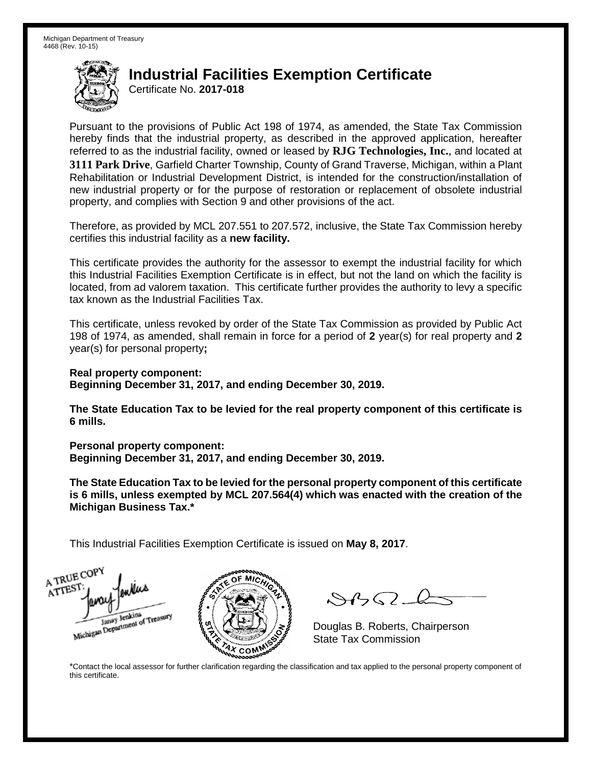Certificate No. **2017-018** 

 Pursuant to the provisions of Public Act 198 of 1974, as amended, the State Tax Commission hereby finds that the industrial property, as described in the approved application, hereafter referred to as the industrial facility, owned or leased by **RJG Technologies, Inc.**, and located at Rehabilitation or Industrial Development District, is intended for the construction/installation of new industrial property or for the purpose of restoration or replacement of obsolete industrial **3111 Park Drive**, Garfield Charter Township, County of Grand Traverse, Michigan, within a Plant property, and complies with Section 9 and other provisions of the act.

Therefore, as provided by MCL 207.551 to 207.572, inclusive, the State Tax Commission hereby certifies this industrial facility as a **new facility.** 

 This certificate provides the authority for the assessor to exempt the industrial facility for which located, from ad valorem taxation. This certificate further provides the authority to levy a specific this Industrial Facilities Exemption Certificate is in effect, but not the land on which the facility is tax known as the Industrial Facilities Tax.

 This certificate, unless revoked by order of the State Tax Commission as provided by Public Act 198 of 1974, as amended, shall remain in force for a period of **2** year(s) for real property and **2**  year(s) for personal property**;** 

 **Real property component: Beginning December 31, 2017, and ending December 30, 2019.**

 **The State Education Tax to be levied for the real property component of this certificate is 6 mills.** 

**Personal property component:**

**Beginning December 31, 2017, and ending December 30, 2019.**

 **The State Education Tax to be levied for the personal property component of this certificate is 6 mills, unless exempted by MCL 207.564(4) which was enacted with the creation of the Michigan Business Tax.\*** 

This Industrial Facilities Exemption Certificate is issued on **May 8, 2017**.





 $\mathcal{S}$ 

Douglas B. Roberts, Chairperson State Tax Commission

 \*Contact the local assessor for further clarification regarding the classification and tax applied to the personal property component of this certificate.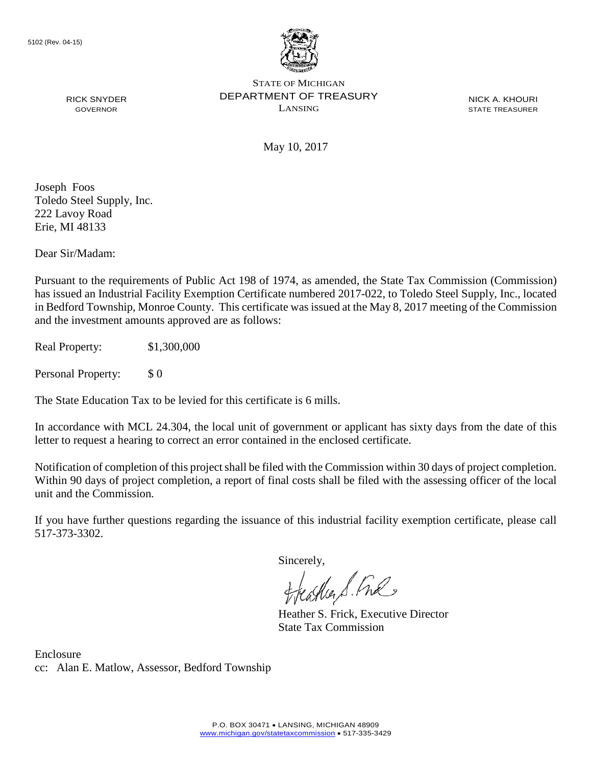

**NICK A. KHOURI** 

May 10, 2017

Joseph Foos Toledo Steel Supply, Inc. 222 Lavoy Road Erie, MI 48133

Dear Sir/Madam:

 and the investment amounts approved are as follows: Pursuant to the requirements of Public Act 198 of 1974, as amended, the State Tax Commission (Commission) has issued an Industrial Facility Exemption Certificate numbered 2017-022, to Toledo Steel Supply, Inc., located in Bedford Township, Monroe County. This certificate was issued at the May 8, 2017 meeting of the Commission

Real Property: \$1,300,000

Personal Property: \$ 0

The State Education Tax to be levied for this certificate is 6 mills.

 In accordance with MCL 24.304, the local unit of government or applicant has sixty days from the date of this letter to request a hearing to correct an error contained in the enclosed certificate.

 Within 90 days of project completion, a report of final costs shall be filed with the assessing officer of the local Notification of completion of this project shall be filed with the Commission within 30 days of project completion. unit and the Commission.

If you have further questions regarding the issuance of this industrial facility exemption certificate, please call 517-373-3302.

Sincerely,

teaglier S. Ful

Heather S. Frick, Executive Director State Tax Commission

 cc: Alan E. Matlow, Assessor, Bedford Township Enclosure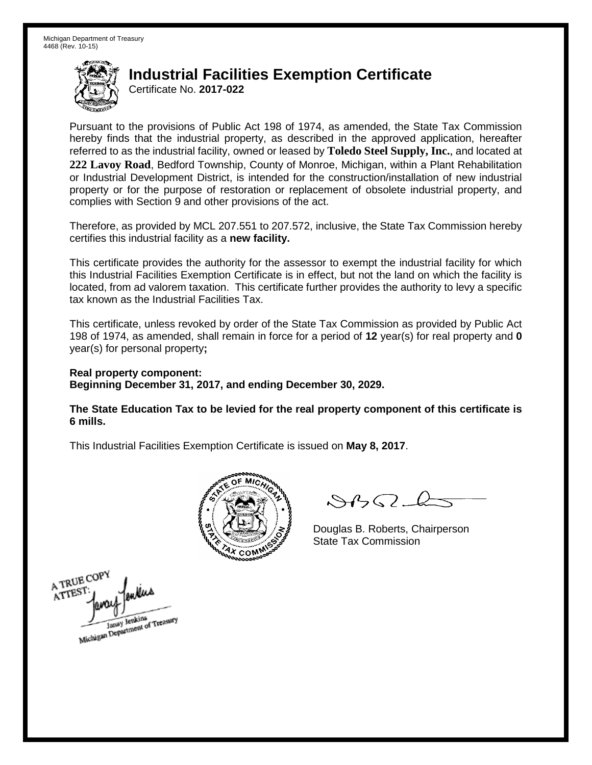Certificate No. **2017-022** 

 Pursuant to the provisions of Public Act 198 of 1974, as amended, the State Tax Commission hereby finds that the industrial property, as described in the approved application, hereafter or Industrial Development District, is intended for the construction/installation of new industrial referred to as the industrial facility, owned or leased by **Toledo Steel Supply, Inc.**, and located at **222 Lavoy Road**, Bedford Township, County of Monroe, Michigan, within a Plant Rehabilitation property or for the purpose of restoration or replacement of obsolete industrial property, and complies with Section 9 and other provisions of the act.

Therefore, as provided by MCL 207.551 to 207.572, inclusive, the State Tax Commission hereby certifies this industrial facility as a **new facility.** 

 This certificate provides the authority for the assessor to exempt the industrial facility for which located, from ad valorem taxation. This certificate further provides the authority to levy a specific this Industrial Facilities Exemption Certificate is in effect, but not the land on which the facility is tax known as the Industrial Facilities Tax.

 This certificate, unless revoked by order of the State Tax Commission as provided by Public Act 198 of 1974, as amended, shall remain in force for a period of **12** year(s) for real property and **0**  year(s) for personal property**;** 

 **Real property component: Beginning December 31, 2017, and ending December 30, 2029.**

 **The State Education Tax to be levied for the real property component of this certificate is 6 mills.** 



 $\mathcal{A}$ 

Douglas B. Roberts, Chairperson State Tax Commission

A TRUE COPY ATTEST Janay Jenkins<br>Michigan Department of Treasury Janay Jenkins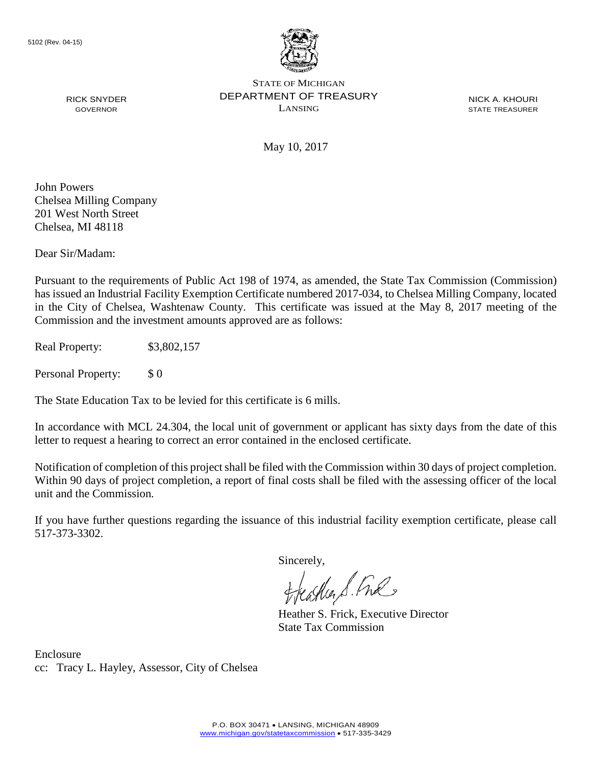

**NICK A. KHOURI** 

May 10, 2017

John Powers Chelsea Milling Company 201 West North Street Chelsea, MI 48118

Dear Sir/Madam:

 in the City of Chelsea, Washtenaw County. This certificate was issued at the May 8, 2017 meeting of the Commission and the investment amounts approved are as follows: Pursuant to the requirements of Public Act 198 of 1974, as amended, the State Tax Commission (Commission) has issued an Industrial Facility Exemption Certificate numbered 2017-034, to Chelsea Milling Company, located

Real Property: \$3,802,157

Personal Property: \$ 0

The State Education Tax to be levied for this certificate is 6 mills.

 In accordance with MCL 24.304, the local unit of government or applicant has sixty days from the date of this letter to request a hearing to correct an error contained in the enclosed certificate.

 Within 90 days of project completion, a report of final costs shall be filed with the assessing officer of the local Notification of completion of this project shall be filed with the Commission within 30 days of project completion. unit and the Commission.

If you have further questions regarding the issuance of this industrial facility exemption certificate, please call 517-373-3302.

Sincerely,

teaglier S. Ful

Heather S. Frick, Executive Director State Tax Commission

 cc: Tracy L. Hayley, Assessor, City of Chelsea Enclosure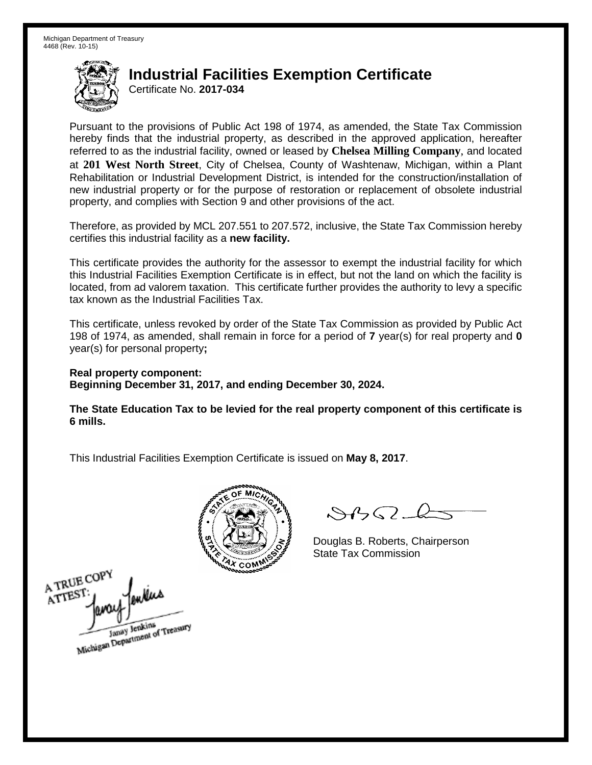Certificate No. **2017-034** 

 Pursuant to the provisions of Public Act 198 of 1974, as amended, the State Tax Commission hereby finds that the industrial property, as described in the approved application, hereafter referred to as the industrial facility, owned or leased by **Chelsea Milling Company**, and located at **201 West North Street**, City of Chelsea, County of Washtenaw, Michigan, within a Plant Rehabilitation or Industrial Development District, is intended for the construction/installation of new industrial property or for the purpose of restoration or replacement of obsolete industrial property, and complies with Section 9 and other provisions of the act.

Therefore, as provided by MCL 207.551 to 207.572, inclusive, the State Tax Commission hereby certifies this industrial facility as a **new facility.** 

 This certificate provides the authority for the assessor to exempt the industrial facility for which located, from ad valorem taxation. This certificate further provides the authority to levy a specific this Industrial Facilities Exemption Certificate is in effect, but not the land on which the facility is tax known as the Industrial Facilities Tax.

 This certificate, unless revoked by order of the State Tax Commission as provided by Public Act 198 of 1974, as amended, shall remain in force for a period of **7** year(s) for real property and **0**  year(s) for personal property**;** 

 **Real property component: Beginning December 31, 2017, and ending December 30, 2024.**

 **The State Education Tax to be levied for the real property component of this certificate is 6 mills.** 



 $8450-k$ 

Douglas B. Roberts, Chairperson State Tax Commission

A TRUE COPY ATTEST Janay Jenkins<br>Michigan Department of Treasury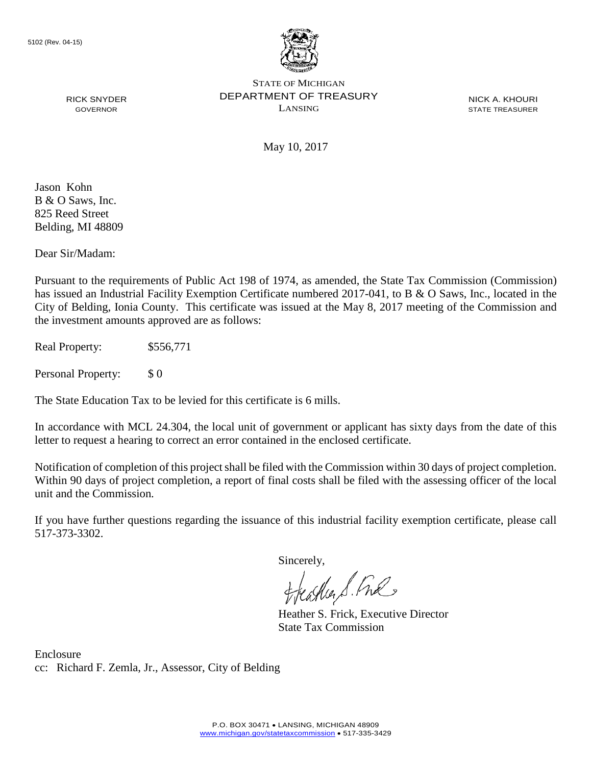

**NICK A. KHOURI** 

May 10, 2017

 B & O Saws, Inc. Jason Kohn 825 Reed Street Belding, MI 48809

Dear Sir/Madam:

 City of Belding, Ionia County. This certificate was issued at the May 8, 2017 meeting of the Commission and Pursuant to the requirements of Public Act 198 of 1974, as amended, the State Tax Commission (Commission) has issued an Industrial Facility Exemption Certificate numbered 2017-041, to B & O Saws, Inc., located in the the investment amounts approved are as follows:

Real Property: \$556,771

Personal Property: \$ 0

The State Education Tax to be levied for this certificate is 6 mills.

 In accordance with MCL 24.304, the local unit of government or applicant has sixty days from the date of this letter to request a hearing to correct an error contained in the enclosed certificate.

 Within 90 days of project completion, a report of final costs shall be filed with the assessing officer of the local Notification of completion of this project shall be filed with the Commission within 30 days of project completion. unit and the Commission.

If you have further questions regarding the issuance of this industrial facility exemption certificate, please call 517-373-3302.

Sincerely,

teacher S. Ful

Heather S. Frick, Executive Director State Tax Commission

 cc: Richard F. Zemla, Jr., Assessor, City of Belding Enclosure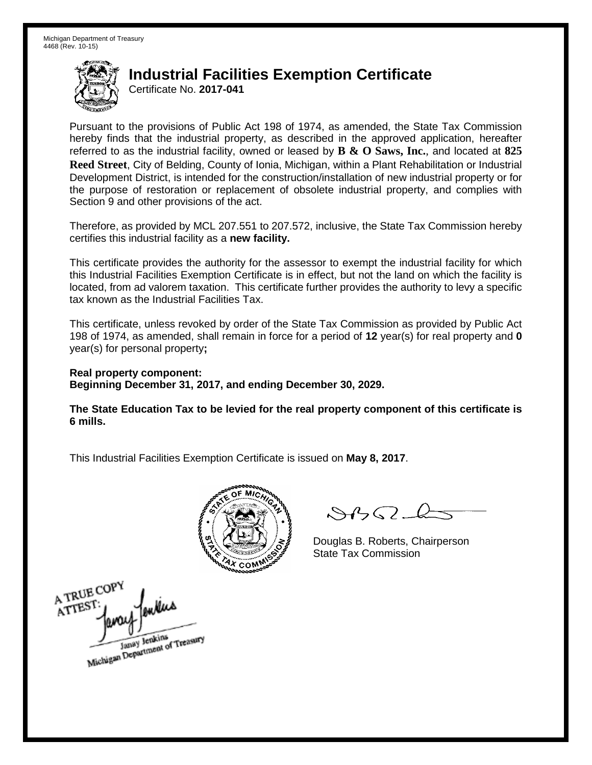Certificate No. **2017-041** 

 Pursuant to the provisions of Public Act 198 of 1974, as amended, the State Tax Commission hereby finds that the industrial property, as described in the approved application, hereafter **Reed Street**, City of Belding, County of Ionia, Michigan, within a Plant Rehabilitation or Industrial Development District, is intended for the construction/installation of new industrial property or for referred to as the industrial facility, owned or leased by **B & O Saws, Inc.**, and located at **825**  the purpose of restoration or replacement of obsolete industrial property, and complies with Section 9 and other provisions of the act.

Therefore, as provided by MCL 207.551 to 207.572, inclusive, the State Tax Commission hereby certifies this industrial facility as a **new facility.** 

 This certificate provides the authority for the assessor to exempt the industrial facility for which located, from ad valorem taxation. This certificate further provides the authority to levy a specific this Industrial Facilities Exemption Certificate is in effect, but not the land on which the facility is tax known as the Industrial Facilities Tax.

 This certificate, unless revoked by order of the State Tax Commission as provided by Public Act 198 of 1974, as amended, shall remain in force for a period of **12** year(s) for real property and **0**  year(s) for personal property**;** 

 **Real property component: Beginning December 31, 2017, and ending December 30, 2029.**

 **The State Education Tax to be levied for the real property component of this certificate is 6 mills.** 



 $8450-k$ 

Douglas B. Roberts, Chairperson State Tax Commission

A TRUE COPY ATTEST Janay Jenkins<br>Michigan Department of Treasury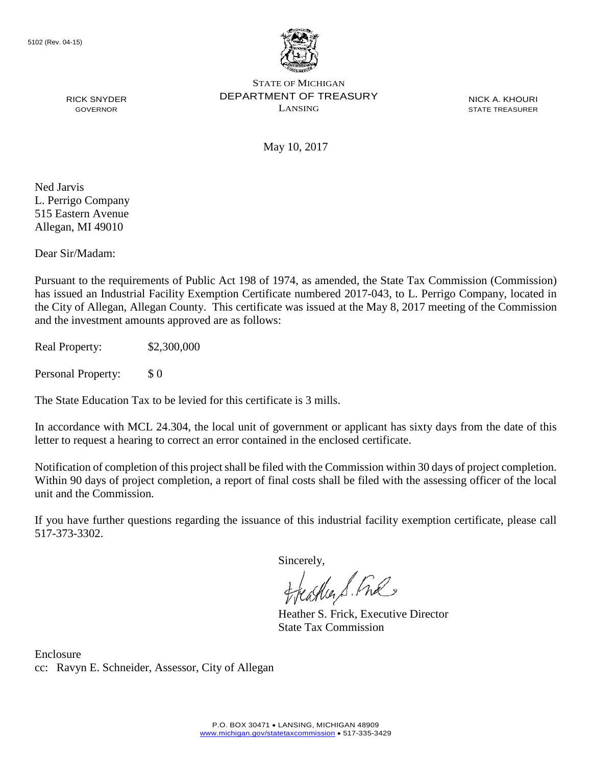

**NICK A. KHOURI** 

May 10, 2017

Ned Jarvis L. Perrigo Company 515 Eastern Avenue Allegan, MI 49010

Dear Sir/Madam:

 the City of Allegan, Allegan County. This certificate was issued at the May 8, 2017 meeting of the Commission and the investment amounts approved are as follows: Pursuant to the requirements of Public Act 198 of 1974, as amended, the State Tax Commission (Commission) has issued an Industrial Facility Exemption Certificate numbered 2017-043, to L. Perrigo Company, located in

Real Property: \$2,300,000

Personal Property: \$ 0

The State Education Tax to be levied for this certificate is 3 mills.

 In accordance with MCL 24.304, the local unit of government or applicant has sixty days from the date of this letter to request a hearing to correct an error contained in the enclosed certificate.

 Within 90 days of project completion, a report of final costs shall be filed with the assessing officer of the local Notification of completion of this project shall be filed with the Commission within 30 days of project completion. unit and the Commission.

If you have further questions regarding the issuance of this industrial facility exemption certificate, please call 517-373-3302.

Sincerely,

teather S. Ful

Heather S. Frick, Executive Director State Tax Commission

 cc: Ravyn E. Schneider, Assessor, City of Allegan Enclosure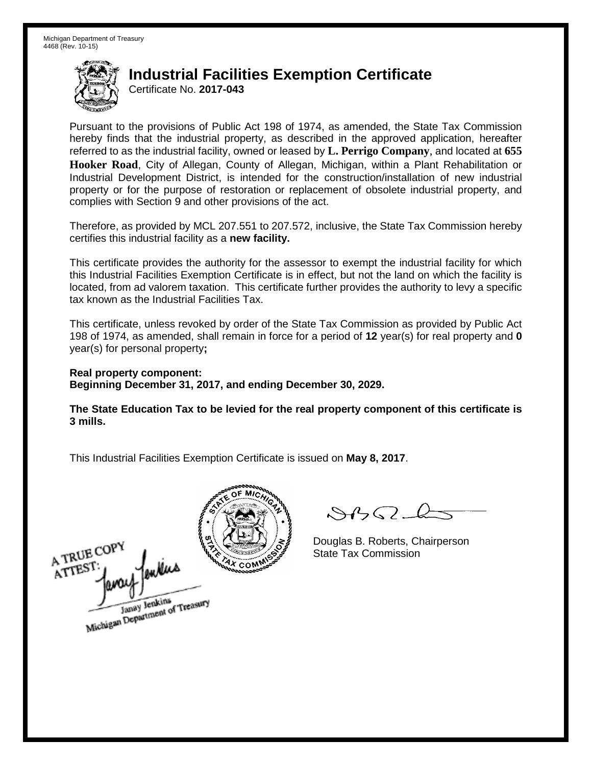Certificate No. **2017-043** 

 Pursuant to the provisions of Public Act 198 of 1974, as amended, the State Tax Commission hereby finds that the industrial property, as described in the approved application, hereafter **Hooker Road**, City of Allegan, County of Allegan, Michigan, within a Plant Rehabilitation or Industrial Development District, is intended for the construction/installation of new industrial referred to as the industrial facility, owned or leased by **L. Perrigo Company**, and located at **655**  property or for the purpose of restoration or replacement of obsolete industrial property, and complies with Section 9 and other provisions of the act.

Therefore, as provided by MCL 207.551 to 207.572, inclusive, the State Tax Commission hereby certifies this industrial facility as a **new facility.** 

 This certificate provides the authority for the assessor to exempt the industrial facility for which located, from ad valorem taxation. This certificate further provides the authority to levy a specific this Industrial Facilities Exemption Certificate is in effect, but not the land on which the facility is tax known as the Industrial Facilities Tax.

 This certificate, unless revoked by order of the State Tax Commission as provided by Public Act 198 of 1974, as amended, shall remain in force for a period of **12** year(s) for real property and **0**  year(s) for personal property**;** 

 **Real property component: Beginning December 31, 2017, and ending December 30, 2029.**

 **The State Education Tax to be levied for the real property component of this certificate is 3 mills.** 

A TRUE COP Janay Jenkins<br>Michigan Department of Treasury



 $8450-k$ 

Douglas B. Roberts, Chairperson State Tax Commission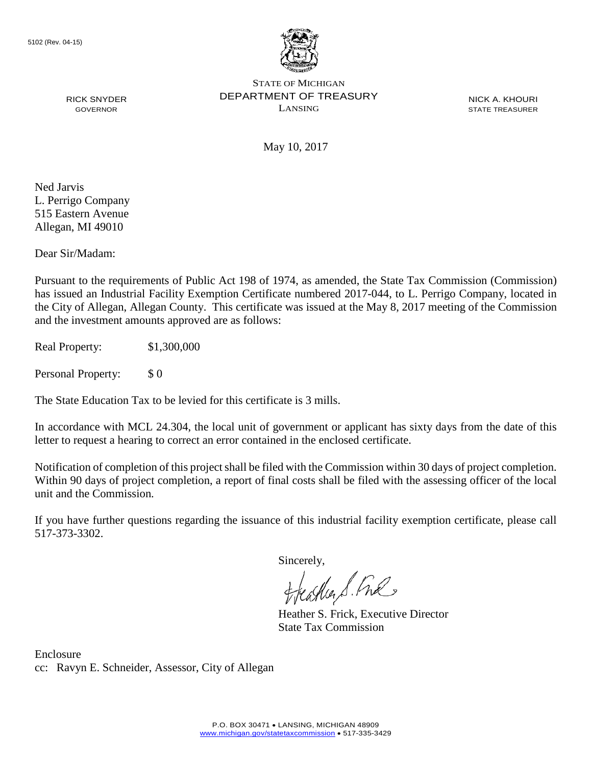

**NICK A. KHOURI** 

May 10, 2017

Ned Jarvis L. Perrigo Company 515 Eastern Avenue Allegan, MI 49010

Dear Sir/Madam:

 the City of Allegan, Allegan County. This certificate was issued at the May 8, 2017 meeting of the Commission and the investment amounts approved are as follows: Pursuant to the requirements of Public Act 198 of 1974, as amended, the State Tax Commission (Commission) has issued an Industrial Facility Exemption Certificate numbered 2017-044, to L. Perrigo Company, located in

Real Property: \$1,300,000

Personal Property: \$ 0

The State Education Tax to be levied for this certificate is 3 mills.

 In accordance with MCL 24.304, the local unit of government or applicant has sixty days from the date of this letter to request a hearing to correct an error contained in the enclosed certificate.

 Within 90 days of project completion, a report of final costs shall be filed with the assessing officer of the local Notification of completion of this project shall be filed with the Commission within 30 days of project completion. unit and the Commission.

If you have further questions regarding the issuance of this industrial facility exemption certificate, please call 517-373-3302.

Sincerely,

teacher S. Ful

Heather S. Frick, Executive Director State Tax Commission

 cc: Ravyn E. Schneider, Assessor, City of Allegan Enclosure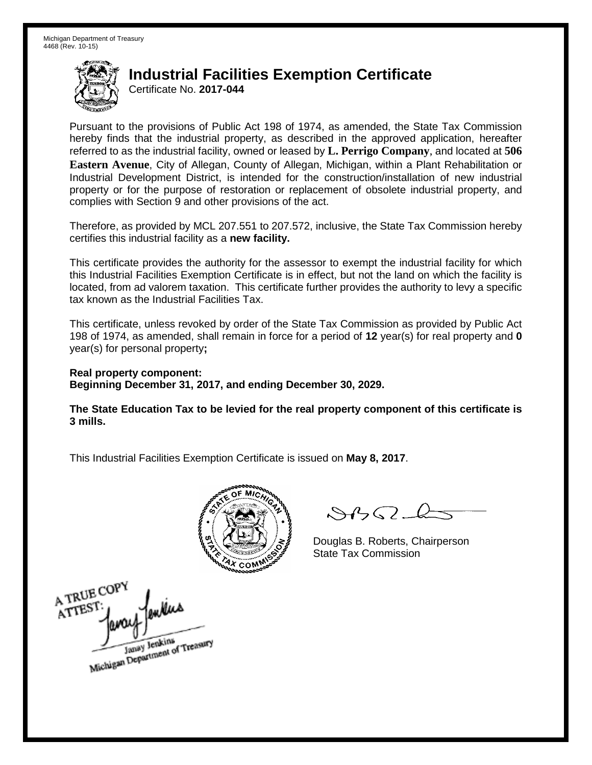Certificate No. **2017-044** 

 Pursuant to the provisions of Public Act 198 of 1974, as amended, the State Tax Commission hereby finds that the industrial property, as described in the approved application, hereafter **Eastern Avenue**, City of Allegan, County of Allegan, Michigan, within a Plant Rehabilitation or Industrial Development District, is intended for the construction/installation of new industrial referred to as the industrial facility, owned or leased by **L. Perrigo Company**, and located at **506**  property or for the purpose of restoration or replacement of obsolete industrial property, and complies with Section 9 and other provisions of the act.

Therefore, as provided by MCL 207.551 to 207.572, inclusive, the State Tax Commission hereby certifies this industrial facility as a **new facility.** 

 This certificate provides the authority for the assessor to exempt the industrial facility for which located, from ad valorem taxation. This certificate further provides the authority to levy a specific this Industrial Facilities Exemption Certificate is in effect, but not the land on which the facility is tax known as the Industrial Facilities Tax.

 This certificate, unless revoked by order of the State Tax Commission as provided by Public Act 198 of 1974, as amended, shall remain in force for a period of **12** year(s) for real property and **0**  year(s) for personal property**;** 

 **Real property component: Beginning December 31, 2017, and ending December 30, 2029.**

 **The State Education Tax to be levied for the real property component of this certificate is 3 mills.** 



 $\mathcal{S}4$ 

Douglas B. Roberts, Chairperson State Tax Commission

A TRUE COPY onKus ATTES1 Janay Jenkins<br>Michigan Department of Treasury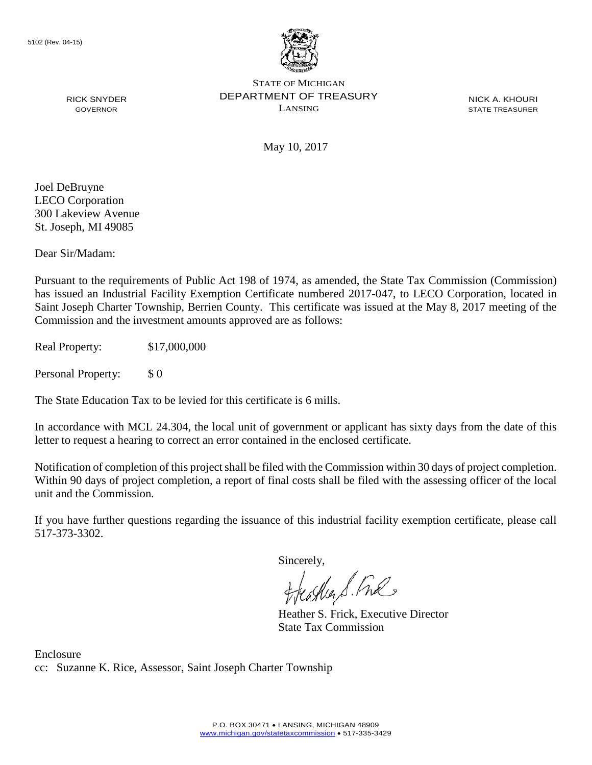

**NICK A. KHOURI** 

May 10, 2017

Joel DeBruyne LECO Corporation 300 Lakeview Avenue St. Joseph, MI 49085

Dear Sir/Madam:

 Commission and the investment amounts approved are as follows: Pursuant to the requirements of Public Act 198 of 1974, as amended, the State Tax Commission (Commission) has issued an Industrial Facility Exemption Certificate numbered 2017-047, to LECO Corporation, located in Saint Joseph Charter Township, Berrien County. This certificate was issued at the May 8, 2017 meeting of the

Real Property: \$17,000,000

Personal Property: \$ 0

The State Education Tax to be levied for this certificate is 6 mills.

 In accordance with MCL 24.304, the local unit of government or applicant has sixty days from the date of this letter to request a hearing to correct an error contained in the enclosed certificate.

 Within 90 days of project completion, a report of final costs shall be filed with the assessing officer of the local Notification of completion of this project shall be filed with the Commission within 30 days of project completion. unit and the Commission.

If you have further questions regarding the issuance of this industrial facility exemption certificate, please call 517-373-3302.

Sincerely,

feastles S. Ful

Heather S. Frick, Executive Director State Tax Commission

 cc: Suzanne K. Rice, Assessor, Saint Joseph Charter Township Enclosure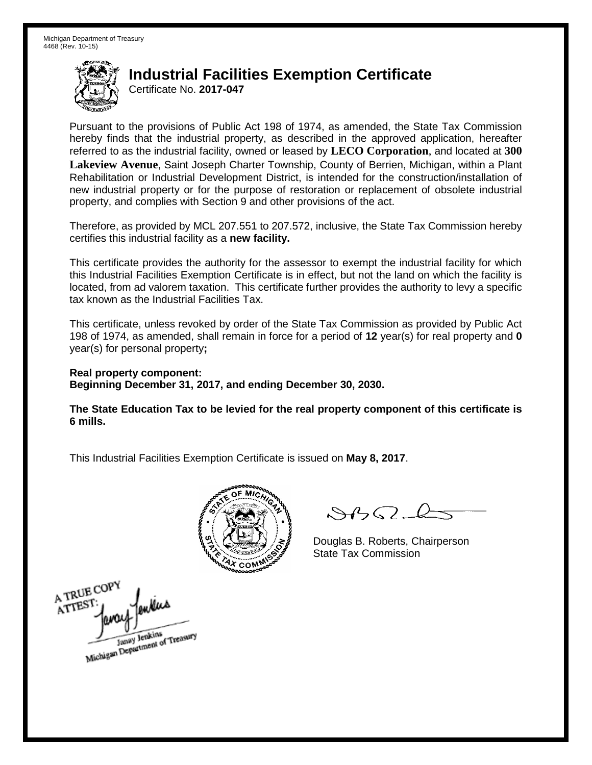Certificate No. **2017-047** 

 Pursuant to the provisions of Public Act 198 of 1974, as amended, the State Tax Commission hereby finds that the industrial property, as described in the approved application, hereafter referred to as the industrial facility, owned or leased by **LECO Corporation**, and located at **300**  Rehabilitation or Industrial Development District, is intended for the construction/installation of new industrial property or for the purpose of restoration or replacement of obsolete industrial **Lakeview Avenue**, Saint Joseph Charter Township, County of Berrien, Michigan, within a Plant property, and complies with Section 9 and other provisions of the act.

Therefore, as provided by MCL 207.551 to 207.572, inclusive, the State Tax Commission hereby certifies this industrial facility as a **new facility.** 

 This certificate provides the authority for the assessor to exempt the industrial facility for which located, from ad valorem taxation. This certificate further provides the authority to levy a specific this Industrial Facilities Exemption Certificate is in effect, but not the land on which the facility is tax known as the Industrial Facilities Tax.

 This certificate, unless revoked by order of the State Tax Commission as provided by Public Act 198 of 1974, as amended, shall remain in force for a period of **12** year(s) for real property and **0**  year(s) for personal property**;** 

 **Real property component: Beginning December 31, 2017, and ending December 30, 2030.**

 **The State Education Tax to be levied for the real property component of this certificate is 6 mills.** 



 $\mathcal{S}4\mathcal{G}$ 

Douglas B. Roberts, Chairperson State Tax Commission

A TRUE COPY ATTEST Janay Jenkins<br>Michigan Department of Treasury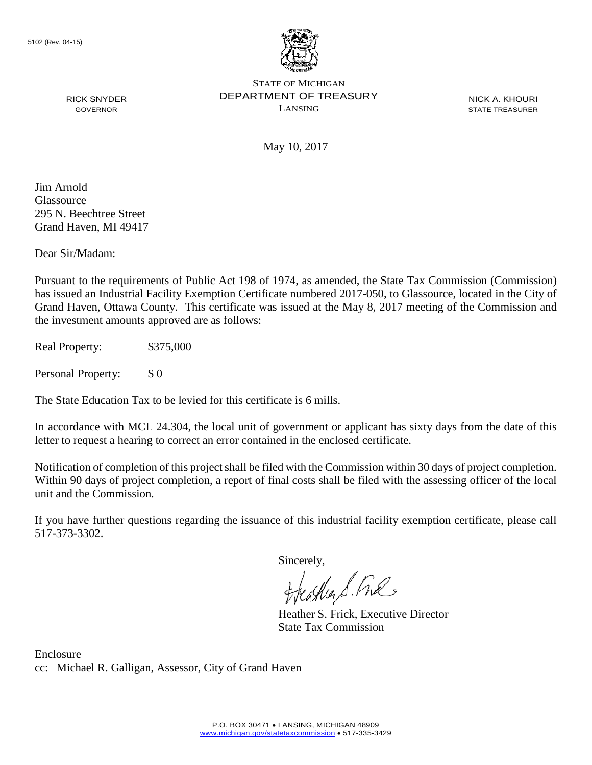

**NICK A. KHOURI** 

May 10, 2017

Jim Arnold Glassource 295 N. Beechtree Street Grand Haven, MI 49417

Dear Sir/Madam:

 has issued an Industrial Facility Exemption Certificate numbered 2017-050, to Glassource, located in the City of Pursuant to the requirements of Public Act 198 of 1974, as amended, the State Tax Commission (Commission) Grand Haven, Ottawa County. This certificate was issued at the May 8, 2017 meeting of the Commission and the investment amounts approved are as follows:

Real Property: \$375,000

Personal Property: \$ 0

The State Education Tax to be levied for this certificate is 6 mills.

 In accordance with MCL 24.304, the local unit of government or applicant has sixty days from the date of this letter to request a hearing to correct an error contained in the enclosed certificate.

 Within 90 days of project completion, a report of final costs shall be filed with the assessing officer of the local Notification of completion of this project shall be filed with the Commission within 30 days of project completion. unit and the Commission.

If you have further questions regarding the issuance of this industrial facility exemption certificate, please call 517-373-3302.

Sincerely,

feather S. Ful

Heather S. Frick, Executive Director State Tax Commission

 cc: Michael R. Galligan, Assessor, City of Grand Haven Enclosure